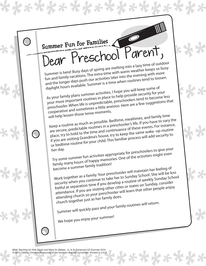

\*\*\*\*\*\*

*Bible Teaching for Kids Music and More for Babies, 1s, & 2s Enhanced CD* Summer 2012 © 2012 LifeWay Christian Resources of the Southern Baptist Convention. Printed in U.S.A.